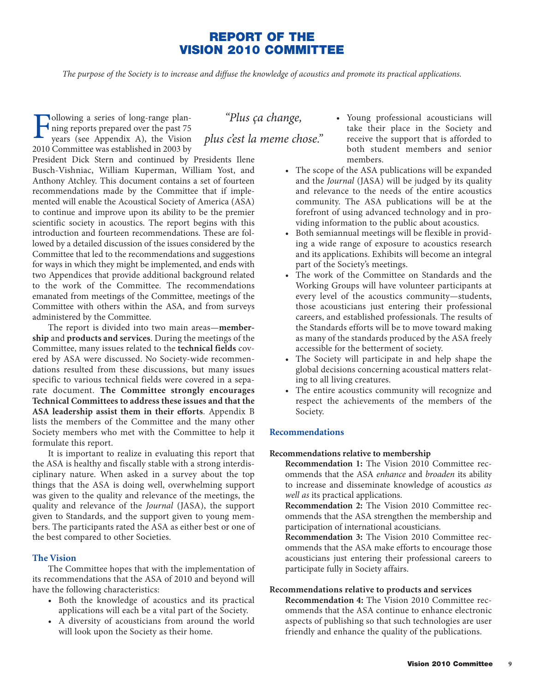# **REPORT OF THE VISION 2010 COMMITTEE**

*The purpose of the Society is to increase and diffuse the knowledge of acoustics and promote its practical applications.*

Following a series of long-range plan-<br>ning reports prepared over the past 75<br>years (see Appendix A), the Vision ning reports prepared over the past 75 years (see Appendix A), the Vision 2010 Committee was established in 2003 by

President Dick Stern and continued by Presidents Ilene Busch-Vishniac, William Kuperman, William Yost, and Anthony Atchley. This document contains a set of fourteen recommendations made by the Committee that if implemented will enable the Acoustical Society of America (ASA) to continue and improve upon its ability to be the premier scientific society in acoustics. The report begins with this introduction and fourteen recommendations. These are followed by a detailed discussion of the issues considered by the Committee that led to the recommendations and suggestions for ways in which they might be implemented, and ends with two Appendices that provide additional background related to the work of the Committee. The recommendations emanated from meetings of the Committee, meetings of the Committee with others within the ASA, and from surveys administered by the Committee.

The report is divided into two main areas—**membership** and **products and services**. During the meetings of the Committee, many issues related to the **technical fields** covered by ASA were discussed. No Society-wide recommendations resulted from these discussions, but many issues specific to various technical fields were covered in a separate document. **The Committee strongly encourages Technical Committees to address these issues and that the ASA leadership assist them in their efforts**. Appendix B lists the members of the Committee and the many other Society members who met with the Committee to help it formulate this report.

It is important to realize in evaluating this report that the ASA is healthy and fiscally stable with a strong interdisciplinary nature. When asked in a survey about the top things that the ASA is doing well, overwhelming support was given to the quality and relevance of the meetings, the quality and relevance of the *Journal* (JASA), the support given to Standards, and the support given to young members. The participants rated the ASA as either best or one of the best compared to other Societies.

## **The Vision**

The Committee hopes that with the implementation of its recommendations that the ASA of 2010 and beyond will have the following characteristics:

- Both the knowledge of acoustics and its practical applications will each be a vital part of the Society.
- A diversity of acousticians from around the world will look upon the Society as their home.

*"Plus ça change, plus c'est la meme chose."*

- Young professional acousticians will take their place in the Society and receive the support that is afforded to both student members and senior members.
- The scope of the ASA publications will be expanded and the *Journal* (JASA) will be judged by its quality and relevance to the needs of the entire acoustics community. The ASA publications will be at the forefront of using advanced technology and in providing information to the public about acoustics.
- Both semiannual meetings will be flexible in providing a wide range of exposure to acoustics research and its applications. Exhibits will become an integral part of the Society's meetings.
- The work of the Committee on Standards and the Working Groups will have volunteer participants at every level of the acoustics community—students, those acousticians just entering their professional careers, and established professionals. The results of the Standards efforts will be to move toward making as many of the standards produced by the ASA freely accessible for the betterment of society.
- The Society will participate in and help shape the global decisions concerning acoustical matters relating to all living creatures.
- The entire acoustics community will recognize and respect the achievements of the members of the Society.

# **Recommendations**

#### **Recommendations relative to membership**

**Recommendation 1:** The Vision 2010 Committee recommends that the ASA *enhance* and *broaden* its ability to increase and disseminate knowledge of acoustics *as well as* its practical applications.

**Recommendation 2:** The Vision 2010 Committee recommends that the ASA strengthen the membership and participation of international acousticians.

**Recommendation 3:** The Vision 2010 Committee recommends that the ASA make efforts to encourage those acousticians just entering their professional careers to participate fully in Society affairs.

#### **Recommendations relative to products and services**

**Recommendation 4:** The Vision 2010 Committee recommends that the ASA continue to enhance electronic aspects of publishing so that such technologies are user friendly and enhance the quality of the publications.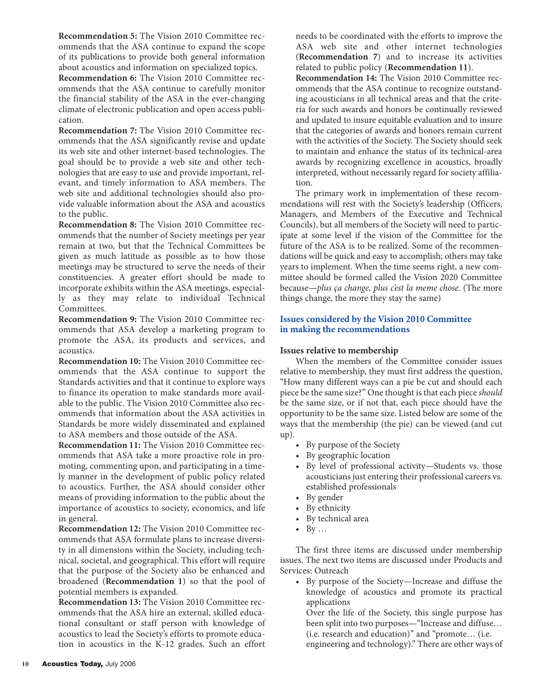**Recommendation 5:** The Vision 2010 Committee recommends that the ASA continue to expand the scope of its publications to provide both general information about acoustics and information on specialized topics.

**Recommendation 6:** The Vision 2010 Committee recommends that the ASA continue to carefully monitor the financial stability of the ASA in the ever-changing climate of electronic publication and open access publication.

**Recommendation 7:** The Vision 2010 Committee recommends that the ASA significantly revise and update its web site and other internet-based technologies. The goal should be to provide a web site and other technologies that are easy to use and provide important, relevant, and timely information to ASA members. The web site and additional technologies should also provide valuable information about the ASA and acoustics to the public.

**Recommendation 8:** The Vision 2010 Committee recommends that the number of Society meetings per year remain at two, but that the Technical Committees be given as much latitude as possible as to how those meetings may be structured to serve the needs of their constituencies. A greater effort should be made to incorporate exhibits within the ASA meetings, especially as they may relate to individual Technical Committees.

**Recommendation 9:** The Vision 2010 Committee recommends that ASA develop a marketing program to promote the ASA, its products and services, and acoustics.

**Recommendation 10:** The Vision 2010 Committee recommends that the ASA continue to support the Standards activities and that it continue to explore ways to finance its operation to make standards more available to the public. The Vision 2010 Committee also recommends that information about the ASA activities in Standards be more widely disseminated and explained to ASA members and those outside of the ASA.

**Recommendation 11:** The Vision 2010 Committee recommends that ASA take a more proactive role in promoting, commenting upon, and participating in a timely manner in the development of public policy related to acoustics. Further, the ASA should consider other means of providing information to the public about the importance of acoustics to society, economics, and life in general.

**Recommendation 12:** The Vision 2010 Committee recommends that ASA formulate plans to increase diversity in all dimensions within the Society, including technical, societal, and geographical. This effort will require that the purpose of the Society also be enhanced and broadened (**Recommendation 1**) so that the pool of potential members is expanded.

**Recommendation 13:** The Vision 2010 Committee recommends that the ASA hire an external, skilled educational consultant or staff person with knowledge of acoustics to lead the Society's efforts to promote education in acoustics in the K-12 grades. Such an effort

needs to be coordinated with the efforts to improve the ASA web site and other internet technologies (**Recommendation 7**) and to increase its activities related to public policy (**Recommendation 11**).

**Recommendation 14:** The Vision 2010 Committee recommends that the ASA continue to recognize outstanding acousticians in all technical areas and that the criteria for such awards and honors be continually reviewed and updated to insure equitable evaluation and to insure that the categories of awards and honors remain current with the activities of the Society. The Society should seek to maintain and enhance the status of its technical-area awards by recognizing excellence in acoustics, broadly interpreted, without necessarily regard for society affiliation.

The primary work in implementation of these recommendations will rest with the Society's leadership (Officers, Managers, and Members of the Executive and Technical Councils), but all members of the Society will need to participate at some level if the vision of the Committee for the future of the ASA is to be realized. Some of the recommendations will be quick and easy to accomplish; others may take years to implement. When the time seems right, a new committee should be formed called the Vision 2020 Committee because—*plus ça change, plus c'est la meme chose*. (The more things change, the more they stay the same)

# **Issues considered by the Vision 2010 Committee in making the recommendations**

# **Issues relative to membership**

When the members of the Committee consider issues relative to membership, they must first address the question, "How many different ways can a pie be cut and should each piece be the same size?" One thought is that each piece *should* be the same size, or if not that, each piece should have the opportunity to be the same size. Listed below are some of the ways that the membership (the pie) can be viewed (and cut up).

- By purpose of the Society
- By geographic location
- By level of professional activity—Students vs. those acousticians just entering their professional careers vs. established professionals
- By gender
- By ethnicity
- By technical area
- $\bullet$  By ...

The first three items are discussed under membership issues. The next two items are discussed under Products and Services: Outreach

• By purpose of the Society—Increase and diffuse the knowledge of acoustics and promote its practical applications

Over the life of the Society, this single purpose has been split into two purposes—"Increase and diffuse… (i.e. research and education)" and "promote… (i.e. engineering and technology)." There are other ways of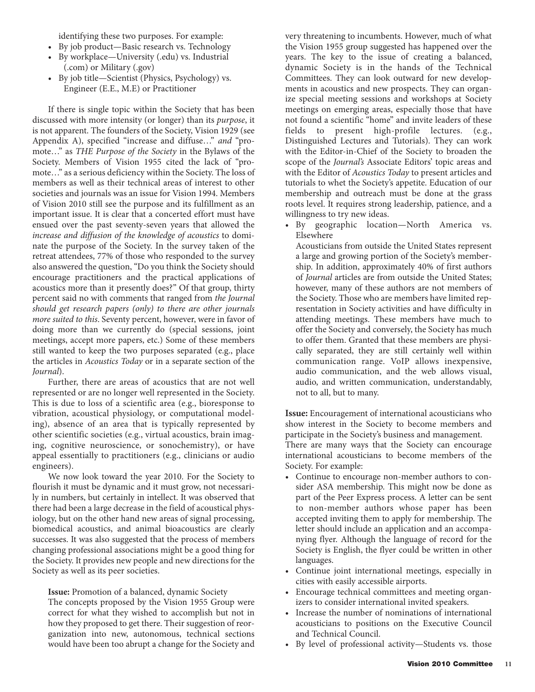identifying these two purposes. For example:

- By job product—Basic research vs. Technology
- By workplace—University (.edu) vs. Industrial (.com) or Military (.gov)
- By job title—Scientist (Physics, Psychology) vs. Engineer (E.E., M.E) or Practitioner

If there is single topic within the Society that has been discussed with more intensity (or longer) than its *purpose*, it is not apparent. The founders of the Society, Vision 1929 (see Appendix A), specified "increase and diffuse…" *and* "promote…" as *THE Purpose of the Society* in the Bylaws of the Society. Members of Vision 1955 cited the lack of "promote…" as a serious deficiency within the Society. The loss of members as well as their technical areas of interest to other societies and journals was an issue for Vision 1994. Members of Vision 2010 still see the purpose and its fulfillment as an important issue. It is clear that a concerted effort must have ensued over the past seventy-seven years that allowed the *increase and diffusion of the knowledge of acoustics* to dominate the purpose of the Society. In the survey taken of the retreat attendees, 77% of those who responded to the survey also answered the question, "Do you think the Society should encourage practitioners and the practical applications of acoustics more than it presently does?" Of that group, thirty percent said no with comments that ranged from *the Journal should get research papers (only) to there are other journals more suited to this*. Seventy percent, however, were in favor of doing more than we currently do (special sessions, joint meetings, accept more papers, etc.) Some of these members still wanted to keep the two purposes separated (e.g., place the articles in *Acoustics Today* or in a separate section of the *Journal*).

Further, there are areas of acoustics that are not well represented or are no longer well represented in the Society. This is due to loss of a scientific area (e.g., bioresponse to vibration, acoustical physiology, or computational modeling), absence of an area that is typically represented by other scientific societies (e.g., virtual acoustics, brain imaging, cognitive neuroscience, or sonochemistry), or have appeal essentially to practitioners (e.g., clinicians or audio engineers).

We now look toward the year 2010. For the Society to flourish it must be dynamic and it must grow, not necessarily in numbers, but certainly in intellect. It was observed that there had been a large decrease in the field of acoustical physiology, but on the other hand new areas of signal processing, biomedical acoustics, and animal bioacoustics are clearly successes. It was also suggested that the process of members changing professional associations might be a good thing for the Society. It provides new people and new directions for the Society as well as its peer societies.

**Issue:** Promotion of a balanced, dynamic Society

The concepts proposed by the Vision 1955 Group were correct for what they wished to accomplish but not in how they proposed to get there. Their suggestion of reorganization into new, autonomous, technical sections would have been too abrupt a change for the Society and very threatening to incumbents. However, much of what the Vision 1955 group suggested has happened over the years. The key to the issue of creating a balanced, dynamic Society is in the hands of the Technical Committees. They can look outward for new developments in acoustics and new prospects. They can organize special meeting sessions and workshops at Society meetings on emerging areas, especially those that have not found a scientific "home" and invite leaders of these fields to present high-profile lectures. (e.g., Distinguished Lectures and Tutorials). They can work with the Editor-in-Chief of the Society to broaden the scope of the *Journal's* Associate Editors' topic areas and with the Editor of *Acoustics Today* to present articles and tutorials to whet the Society's appetite. Education of our membership and outreach must be done at the grass roots level. It requires strong leadership, patience, and a willingness to try new ideas.

• By geographic location—North America vs. Elsewhere

Acousticians from outside the United States represent a large and growing portion of the Society's membership. In addition, approximately 40% of first authors of *Journal* articles are from outside the United States; however, many of these authors are not members of the Society. Those who are members have limited representation in Society activities and have difficulty in attending meetings. These members have much to offer the Society and conversely, the Society has much to offer them. Granted that these members are physically separated, they are still certainly well within communication range. VoIP allows inexpensive, audio communication, and the web allows visual, audio, and written communication, understandably, not to all, but to many.

**Issue:** Encouragement of international acousticians who show interest in the Society to become members and participate in the Society's business and management.

There are many ways that the Society can encourage international acousticians to become members of the Society. For example:

- Continue to encourage non-member authors to consider ASA membership. This might now be done as part of the Peer Express process. A letter can be sent to non-member authors whose paper has been accepted inviting them to apply for membership. The letter should include an application and an accompanying flyer. Although the language of record for the Society is English, the flyer could be written in other languages.
- Continue joint international meetings, especially in cities with easily accessible airports.
- Encourage technical committees and meeting organizers to consider international invited speakers.
- Increase the number of nominations of international acousticians to positions on the Executive Council and Technical Council.
- By level of professional activity—Students vs. those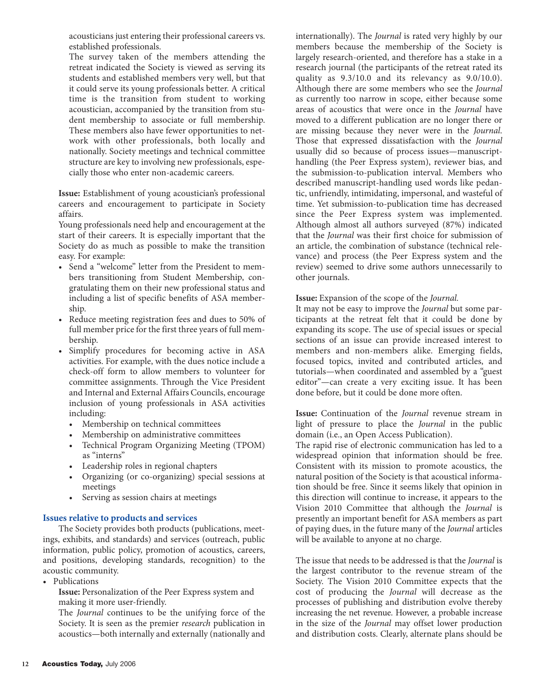acousticians just entering their professional careers vs. established professionals.

The survey taken of the members attending the retreat indicated the Society is viewed as serving its students and established members very well, but that it could serve its young professionals better. A critical time is the transition from student to working acoustician, accompanied by the transition from student membership to associate or full membership. These members also have fewer opportunities to network with other professionals, both locally and nationally. Society meetings and technical committee structure are key to involving new professionals, especially those who enter non-academic careers.

**Issue:** Establishment of young acoustician's professional careers and encouragement to participate in Society affairs.

Young professionals need help and encouragement at the start of their careers. It is especially important that the Society do as much as possible to make the transition easy. For example:

- Send a "welcome" letter from the President to members transitioning from Student Membership, congratulating them on their new professional status and including a list of specific benefits of ASA membership.
- Reduce meeting registration fees and dues to 50% of full member price for the first three years of full membership.
- Simplify procedures for becoming active in ASA activities. For example, with the dues notice include a check-off form to allow members to volunteer for committee assignments. Through the Vice President and Internal and External Affairs Councils, encourage inclusion of young professionals in ASA activities including:
	- Membership on technical committees
	- Membership on administrative committees
	- Technical Program Organizing Meeting (TPOM) as "interns"
	- Leadership roles in regional chapters
	- Organizing (or co-organizing) special sessions at meetings
	- Serving as session chairs at meetings

# **Issues relative to products and services**

The Society provides both products (publications, meetings, exhibits, and standards) and services (outreach, public information, public policy, promotion of acoustics, careers, and positions, developing standards, recognition) to the acoustic community.

• Publications

**Issue:** Personalization of the Peer Express system and making it more user-friendly.

The *Journal* continues to be the unifying force of the Society. It is seen as the premier *research* publication in acoustics—both internally and externally (nationally and

internationally). The *Journal* is rated very highly by our members because the membership of the Society is largely research-oriented, and therefore has a stake in a research journal (the participants of the retreat rated its quality as 9.3/10.0 and its relevancy as 9.0/10.0). Although there are some members who see the *Journal* as currently too narrow in scope, either because some areas of acoustics that were once in the *Journal* have moved to a different publication are no longer there or are missing because they never were in the *Journal*. Those that expressed dissatisfaction with the *Journal* usually did so because of process issues—manuscripthandling (the Peer Express system), reviewer bias, and the submission-to-publication interval. Members who described manuscript-handling used words like pedantic, unfriendly, intimidating, impersonal, and wasteful of time. Yet submission-to-publication time has decreased since the Peer Express system was implemented. Although almost all authors surveyed (87%) indicated that the *Journal* was their first choice for submission of an article, the combination of substance (technical relevance) and process (the Peer Express system and the review) seemed to drive some authors unnecessarily to other journals.

# **Issue:** Expansion of the scope of the *Journal.*

It may not be easy to improve the *Journal* but some participants at the retreat felt that it could be done by expanding its scope. The use of special issues or special sections of an issue can provide increased interest to members and non-members alike. Emerging fields, focused topics, invited and contributed articles, and tutorials—when coordinated and assembled by a "guest editor"—can create a very exciting issue. It has been done before, but it could be done more often.

**Issue:** Continuation of the *Journal* revenue stream in light of pressure to place the *Journal* in the public domain (i.e., an Open Access Publication).

The rapid rise of electronic communication has led to a widespread opinion that information should be free. Consistent with its mission to promote acoustics, the natural position of the Society is that acoustical information should be free. Since it seems likely that opinion in this direction will continue to increase, it appears to the Vision 2010 Committee that although the *Journal* is presently an important benefit for ASA members as part of paying dues, in the future many of the *Journal* articles will be available to anyone at no charge.

The issue that needs to be addressed is that the *Journal* is the largest contributor to the revenue stream of the Society. The Vision 2010 Committee expects that the cost of producing the *Journal* will decrease as the processes of publishing and distribution evolve thereby increasing the net revenue. However, a probable increase in the size of the *Journal* may offset lower production and distribution costs. Clearly, alternate plans should be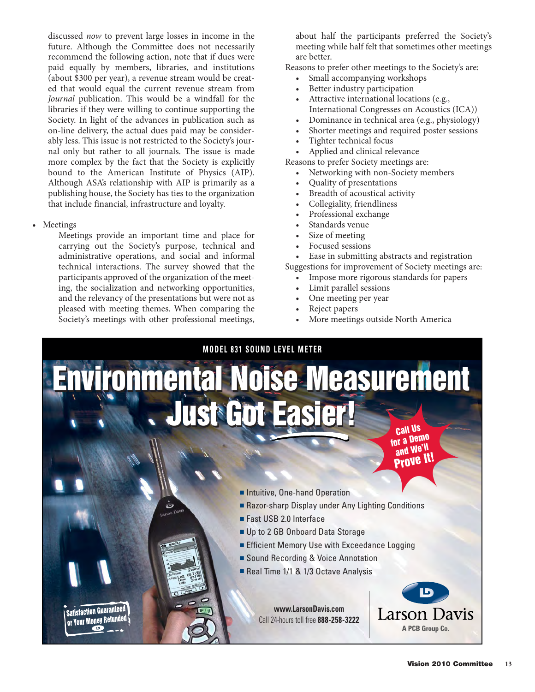discussed *now* to prevent large losses in income in the future. Although the Committee does not necessarily recommend the following action, note that if dues were paid equally by members, libraries, and institutions (about \$300 per year), a revenue stream would be created that would equal the current revenue stream from *Journal* publication. This would be a windfall for the libraries if they were willing to continue supporting the Society. In light of the advances in publication such as on-line delivery, the actual dues paid may be considerably less. This issue is not restricted to the Society's journal only but rather to all journals. The issue is made more complex by the fact that the Society is explicitly bound to the American Institute of Physics (AIP). Although ASA's relationship with AIP is primarily as a publishing house, the Society has ties to the organization that include financial, infrastructure and loyalty.

• Meetings

Meetings provide an important time and place for carrying out the Society's purpose, technical and administrative operations, and social and informal technical interactions. The survey showed that the participants approved of the organization of the meeting, the socialization and networking opportunities, and the relevancy of the presentations but were not as pleased with meeting themes. When comparing the Society's meetings with other professional meetings,

about half the participants preferred the Society's meeting while half felt that sometimes other meetings are better.

Reasons to prefer other meetings to the Society's are:

- Small accompanying workshops
- Better industry participation
- Attractive international locations (e.g., International Congresses on Acoustics (ICA))
- Dominance in technical area (e.g., physiology)
- Shorter meetings and required poster sessions
- Tighter technical focus
- Applied and clinical relevance

Reasons to prefer Society meetings are:

- Networking with non-Society members
- Quality of presentations
- Breadth of acoustical activity
- Collegiality, friendliness
- Professional exchange
- Standards venue
- Size of meeting
- Focused sessions

Ease in submitting abstracts and registration Suggestions for improvement of Society meetings are:

- Impose more rigorous standards for papers
- Limit parallel sessions
- One meeting per year
- Reject papers
- More meetings outside North America

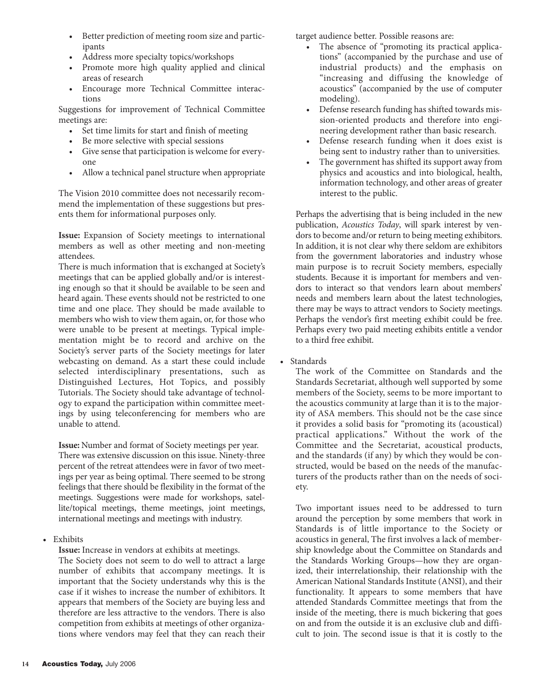- Better prediction of meeting room size and participants
- Address more specialty topics/workshops
- Promote more high quality applied and clinical areas of research
- Encourage more Technical Committee interactions

Suggestions for improvement of Technical Committee meetings are:

- Set time limits for start and finish of meeting
- Be more selective with special sessions
- Give sense that participation is welcome for everyone
- Allow a technical panel structure when appropriate

The Vision 2010 committee does not necessarily recommend the implementation of these suggestions but presents them for informational purposes only.

**Issue:** Expansion of Society meetings to international members as well as other meeting and non-meeting attendees.

There is much information that is exchanged at Society's meetings that can be applied globally and/or is interesting enough so that it should be available to be seen and heard again. These events should not be restricted to one time and one place. They should be made available to members who wish to view them again, or, for those who were unable to be present at meetings. Typical implementation might be to record and archive on the Society's server parts of the Society meetings for later webcasting on demand. As a start these could include selected interdisciplinary presentations, such as Distinguished Lectures, Hot Topics, and possibly Tutorials. The Society should take advantage of technology to expand the participation within committee meetings by using teleconferencing for members who are unable to attend.

**Issue:** Number and format of Society meetings per year. There was extensive discussion on this issue. Ninety-three percent of the retreat attendees were in favor of two meetings per year as being optimal. There seemed to be strong feelings that there should be flexibility in the format of the meetings. Suggestions were made for workshops, satellite/topical meetings, theme meetings, joint meetings, international meetings and meetings with industry.

• Exhibits

**Issue:** Increase in vendors at exhibits at meetings.

The Society does not seem to do well to attract a large number of exhibits that accompany meetings. It is important that the Society understands why this is the case if it wishes to increase the number of exhibitors. It appears that members of the Society are buying less and therefore are less attractive to the vendors. There is also competition from exhibits at meetings of other organizations where vendors may feel that they can reach their

target audience better. Possible reasons are:

- The absence of "promoting its practical applications" (accompanied by the purchase and use of industrial products) and the emphasis on "increasing and diffusing the knowledge of acoustics" (accompanied by the use of computer modeling).
- Defense research funding has shifted towards mission-oriented products and therefore into engineering development rather than basic research.
- Defense research funding when it does exist is being sent to industry rather than to universities.
- The government has shifted its support away from physics and acoustics and into biological, health, information technology, and other areas of greater interest to the public.

Perhaps the advertising that is being included in the new publication, *Acoustics Today*, will spark interest by vendors to become and/or return to being meeting exhibitors. In addition, it is not clear why there seldom are exhibitors from the government laboratories and industry whose main purpose is to recruit Society members, especially students. Because it is important for members and vendors to interact so that vendors learn about members' needs and members learn about the latest technologies, there may be ways to attract vendors to Society meetings. Perhaps the vendor's first meeting exhibit could be free. Perhaps every two paid meeting exhibits entitle a vendor to a third free exhibit.

• Standards

The work of the Committee on Standards and the Standards Secretariat, although well supported by some members of the Society, seems to be more important to the acoustics community at large than it is to the majority of ASA members. This should not be the case since it provides a solid basis for "promoting its (acoustical) practical applications." Without the work of the Committee and the Secretariat, acoustical products, and the standards (if any) by which they would be constructed, would be based on the needs of the manufacturers of the products rather than on the needs of society.

Two important issues need to be addressed to turn around the perception by some members that work in Standards is of little importance to the Society or acoustics in general, The first involves a lack of membership knowledge about the Committee on Standards and the Standards Working Groups—how they are organized, their interrelationship, their relationship with the American National Standards Institute (ANSI), and their functionality. It appears to some members that have attended Standards Committee meetings that from the inside of the meeting, there is much bickering that goes on and from the outside it is an exclusive club and difficult to join. The second issue is that it is costly to the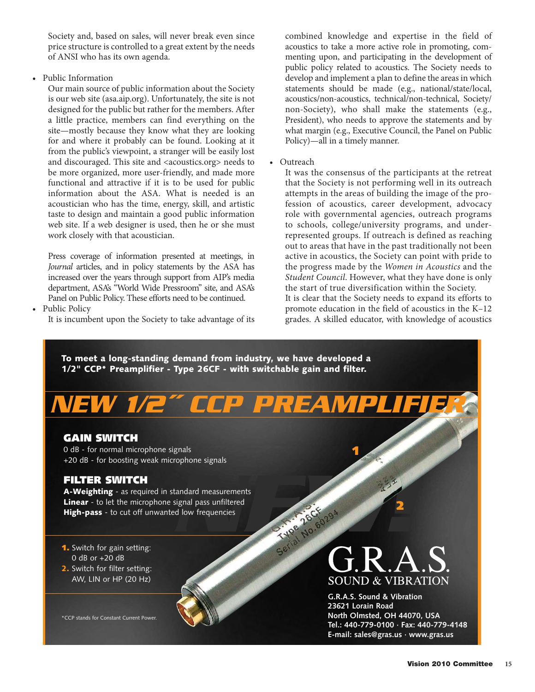Society and, based on sales, will never break even since price structure is controlled to a great extent by the needs of ANSI who has its own agenda.

• Public Information

Our main source of public information about the Society is our web site (asa.aip.org). Unfortunately, the site is not designed for the public but rather for the members. After a little practice, members can find everything on the site—mostly because they know what they are looking for and where it probably can be found. Looking at it from the public's viewpoint, a stranger will be easily lost and discouraged. This site and <acoustics.org> needs to be more organized, more user-friendly, and made more functional and attractive if it is to be used for public information about the ASA. What is needed is an acoustician who has the time, energy, skill, and artistic taste to design and maintain a good public information web site. If a web designer is used, then he or she must work closely with that acoustician.

Press coverage of information presented at meetings, in *Journal* articles, and in policy statements by the ASA has increased over the years through support from AIP's media department, ASA's "World Wide Pressroom" site, and ASA's Panel on Public Policy. These efforts need to be continued.

• Public Policy

It is incumbent upon the Society to take advantage of its

combined knowledge and expertise in the field of acoustics to take a more active role in promoting, commenting upon, and participating in the development of public policy related to acoustics. The Society needs to develop and implement a plan to define the areas in which statements should be made (e.g., national/state/local, acoustics/non-acoustics, technical/non-technical, Society/ non-Society), who shall make the statements (e.g., President), who needs to approve the statements and by what margin (e.g., Executive Council, the Panel on Public Policy)—all in a timely manner.

• Outreach

It was the consensus of the participants at the retreat that the Society is not performing well in its outreach attempts in the areas of building the image of the profession of acoustics, career development, advocacy role with governmental agencies, outreach programs to schools, college/university programs, and underrepresented groups. If outreach is defined as reaching out to areas that have in the past traditionally not been active in acoustics, the Society can point with pride to the progress made by the *Women in Acoustics* and the *Student Council*. However, what they have done is only the start of true diversification within the Society.

It is clear that the Society needs to expand its efforts to promote education in the field of acoustics in the K–12 grades. A skilled educator, with knowledge of acoustics

**To meet a long-standing demand from industry, we have developed a 1/2" CCP\* Preamplifier - Type 26CF - with switchable gain and filter.**

# *NEW 1/2" CCP PRE*

# **GAIN SWITCH**

0 dB - for normal microphone signals +20 dB - for boosting weak microphone signals

# **FILTER SWITCH**

**A-Weighting** - as required in standard measurements **Linear** - to let the microphone signal pass unfiltered **High-pass** - to cut off unwanted low frequencies

**1.** Switch for gain setting: 0 dB or +20 dB

**2.** Switch for filter setting: AW, LIN or HP (20 Hz)

\*CCP stands for Constant Current Power.

# **SOUND & VIBRATION**

**1**

**Allie 10.95** 

26CK 29A

**G.R.A.S. Sound & Vibration 23621 Lorain Road North Olmsted, OH 44070, USA Tel.: 440-779-0100 · Fax: 440-779-4148 E-mail: sales@gras.us · www.gras.us**

**2**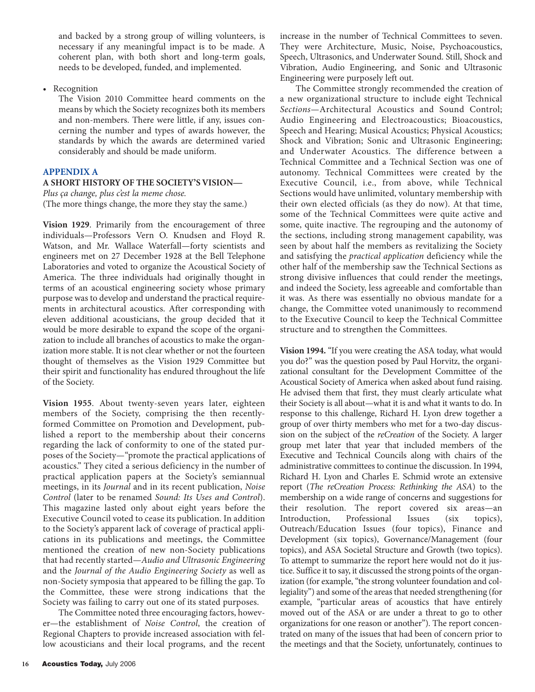and backed by a strong group of willing volunteers, is necessary if any meaningful impact is to be made. A coherent plan, with both short and long-term goals, needs to be developed, funded, and implemented.

• Recognition

The Vision 2010 Committee heard comments on the means by which the Society recognizes both its members and non-members. There were little, if any, issues concerning the number and types of awards however, the standards by which the awards are determined varied considerably and should be made uniform.

# **APPENDIX A**

# **A SHORT HISTORY OF THE SOCIETY'S VISION—**

*Plus ça change, plus c'est la meme chose.* (The more things change, the more they stay the same.)

**Vision 1929**. Primarily from the encouragement of three individuals—Professors Vern O. Knudsen and Floyd R. Watson, and Mr. Wallace Waterfall—forty scientists and engineers met on 27 December 1928 at the Bell Telephone Laboratories and voted to organize the Acoustical Society of America. The three individuals had originally thought in terms of an acoustical engineering society whose primary purpose was to develop and understand the practical requirements in architectural acoustics. After corresponding with eleven additional acousticians, the group decided that it would be more desirable to expand the scope of the organization to include all branches of acoustics to make the organization more stable. It is not clear whether or not the fourteen thought of themselves as the Vision 1929 Committee but their spirit and functionality has endured throughout the life of the Society.

**Vision 1955**. About twenty-seven years later, eighteen members of the Society, comprising the then recentlyformed Committee on Promotion and Development, published a report to the membership about their concerns regarding the lack of conformity to one of the stated purposes of the Society—"promote the practical applications of acoustics." They cited a serious deficiency in the number of practical application papers at the Society's semiannual meetings, in its *Journal* and in its recent publication, *Noise Control* (later to be renamed *Sound: Its Uses and Control*). This magazine lasted only about eight years before the Executive Council voted to cease its publication. In addition to the Society's apparent lack of coverage of practical applications in its publications and meetings, the Committee mentioned the creation of new non-Society publications that had recently started—*Audio and Ultrasonic Engineering* and the *Journal of the Audio Engineering Society* as well as non-Society symposia that appeared to be filling the gap. To the Committee, these were strong indications that the Society was failing to carry out one of its stated purposes.

The Committee noted three encouraging factors, however—the establishment of *Noise Control*, the creation of Regional Chapters to provide increased association with fellow acousticians and their local programs, and the recent

16 **Acoustics Today, July 2006** 

increase in the number of Technical Committees to seven. They were Architecture, Music, Noise, Psychoacoustics, Speech, Ultrasonics, and Underwater Sound. Still, Shock and Vibration, Audio Engineering, and Sonic and Ultrasonic Engineering were purposely left out.

The Committee strongly recommended the creation of a new organizational structure to include eight Technical *Sections*—Architectural Acoustics and Sound Control; Audio Engineering and Electroacoustics; Bioacoustics, Speech and Hearing; Musical Acoustics; Physical Acoustics; Shock and Vibration; Sonic and Ultrasonic Engineering; and Underwater Acoustics. The difference between a Technical Committee and a Technical Section was one of autonomy. Technical Committees were created by the Executive Council, i.e., from above, while Technical Sections would have unlimited, voluntary membership with their own elected officials (as they do now). At that time, some of the Technical Committees were quite active and some, quite inactive. The regrouping and the autonomy of the sections, including strong management capability, was seen by about half the members as revitalizing the Society and satisfying the *practical application* deficiency while the other half of the membership saw the Technical Sections as strong divisive influences that could render the meetings, and indeed the Society, less agreeable and comfortable than it was. As there was essentially no obvious mandate for a change, the Committee voted unanimously to recommend to the Executive Council to keep the Technical Committee structure and to strengthen the Committees.

**Vision 1994.** "If you were creating the ASA today, what would you do?" was the question posed by Paul Horvitz, the organizational consultant for the Development Committee of the Acoustical Society of America when asked about fund raising. He advised them that first, they must clearly articulate what their Society is all about—what it is and what it wants to do. In response to this challenge, Richard H. Lyon drew together a group of over thirty members who met for a two-day discussion on the subject of the *reCreation* of the Society. A larger group met later that year that included members of the Executive and Technical Councils along with chairs of the administrative committees to continue the discussion. In 1994, Richard H. Lyon and Charles E. Schmid wrote an extensive report (*The reCreation Process: Rethinking the ASA*) to the membership on a wide range of concerns and suggestions for their resolution. The report covered six areas—an Introduction, Professional Issues (six topics), Outreach/Education Issues (four topics), Finance and Development (six topics), Governance/Management (four topics), and ASA Societal Structure and Growth (two topics). To attempt to summarize the report here would not do it justice. Suffice it to say, it discussed the strong points of the organization (for example, "the strong volunteer foundation and collegiality") and some of the areas that needed strengthening (for example, "particular areas of acoustics that have entirely moved out of the ASA or are under a threat to go to other organizations for one reason or another"). The report concentrated on many of the issues that had been of concern prior to the meetings and that the Society, unfortunately, continues to